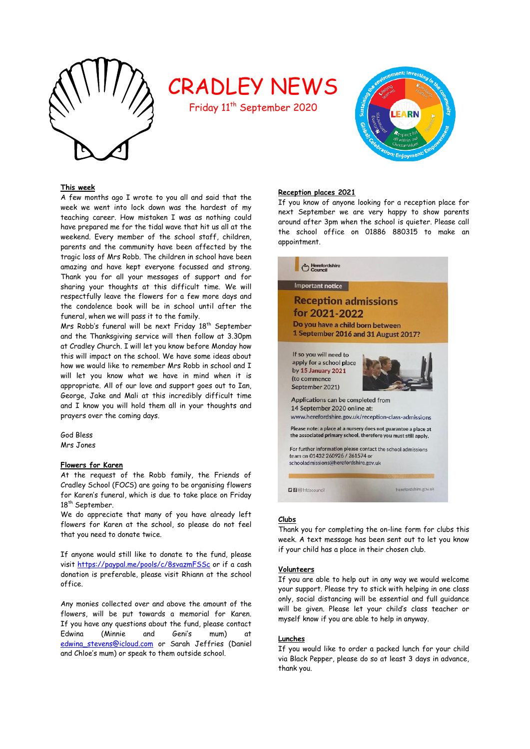

# CRADLEY NEWS

Friday 11<sup>th</sup> September 2020



# **This week**

A few months ago I wrote to you all and said that the week we went into lock down was the hardest of my teaching career. How mistaken I was as nothing could have prepared me for the tidal wave that hit us all at the weekend. Every member of the school staff, children, parents and the community have been affected by the tragic loss of Mrs Robb. The children in school have been amazing and have kept everyone focussed and strong. Thank you for all your messages of support and for sharing your thoughts at this difficult time. We will respectfully leave the flowers for a few more days and the condolence book will be in school until after the funeral, when we will pass it to the family.

Mrs Robb's funeral will be next Friday 18<sup>th</sup> September and the Thanksgiving service will then follow at 3.30pm at Cradley Church. I will let you know before Monday how this will impact on the school. We have some ideas about how we would like to remember Mrs Robb in school and I will let you know what we have in mind when it is appropriate. All of our love and support goes out to Ian, George, Jake and Mali at this incredibly difficult time and I know you will hold them all in your thoughts and prayers over the coming days.

God Bless Mrs Jones

## **Flowers for Karen**

At the request of the Robb family, the Friends of Cradley School (FOCS) are going to be organising flowers for Karen's funeral, which is due to take place on Friday 18<sup>th</sup> September.

We do appreciate that many of you have already left flowers for Karen at the school, so please do not feel that you need to donate twice.

If anyone would still like to donate to the fund, please visit<https://paypal.me/pools/c/8svazmFSSc> or if a cash donation is preferable, please visit Rhiann at the school office.

Any monies collected over and above the amount of the flowers, will be put towards a memorial for Karen. If you have any questions about the fund, please contact Edwina (Minnie and Geni's mum) at [edwina\\_stevens@icloud.com](mailto:edwina_stevens@icloud.com) or Sarah Jeffries (Daniel and Chloe's mum) or speak to them outside school.

# **Reception places 2021**

If you know of anyone looking for a reception place for next September we are very happy to show parents around after 3pm when the school is quieter. Please call the school office on 01886 880315 to make an appointment.



# **Clubs**

Thank you for completing the on-line form for clubs this week. A text message has been sent out to let you know if your child has a place in their chosen club.

# **Volunteers**

If you are able to help out in any way we would welcome your support. Please try to stick with helping in one class only, social distancing will be essential and full guidance will be given. Please let your child's class teacher or myself know if you are able to help in anyway.

## **Lunches**

If you would like to order a packed lunch for your child via Black Pepper, please do so at least 3 days in advance, thank you.